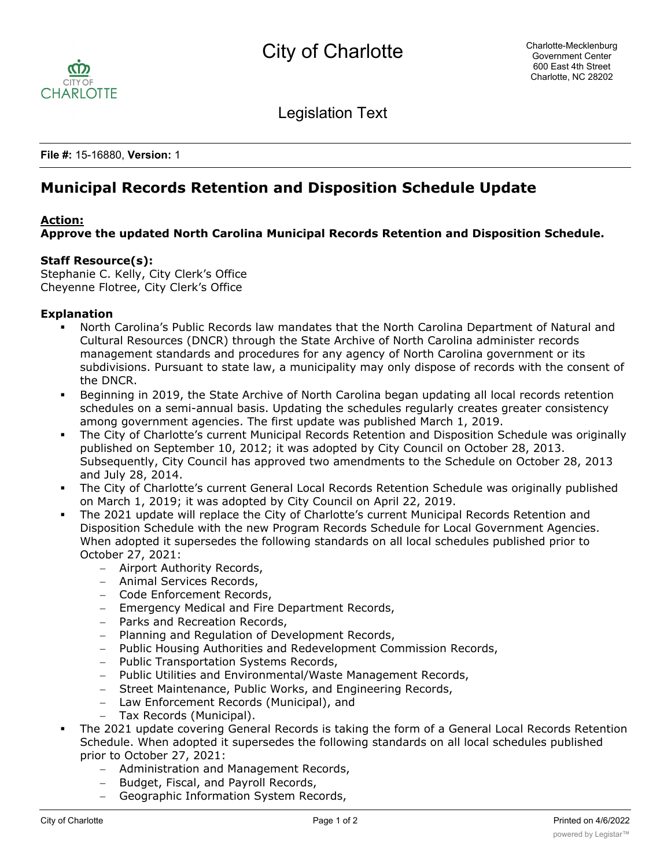

Legislation Text

**File #:** 15-16880, **Version:** 1

# **Municipal Records Retention and Disposition Schedule Update**

## **Action:**

**Approve the updated North Carolina Municipal Records Retention and Disposition Schedule.**

## **Staff Resource(s):**

Stephanie C. Kelly, City Clerk's Office Cheyenne Flotree, City Clerk's Office

### **Explanation**

- § North Carolina's Public Records law mandates that the North Carolina Department of Natural and Cultural Resources (DNCR) through the State Archive of North Carolina administer records management standards and procedures for any agency of North Carolina government or its subdivisions. Pursuant to state law, a municipality may only dispose of records with the consent of the DNCR.
- § Beginning in 2019, the State Archive of North Carolina began updating all local records retention schedules on a semi-annual basis. Updating the schedules regularly creates greater consistency among government agencies. The first update was published March 1, 2019.
- The City of Charlotte's current Municipal Records Retention and Disposition Schedule was originally published on September 10, 2012; it was adopted by City Council on October 28, 2013. Subsequently, City Council has approved two amendments to the Schedule on October 28, 2013 and July 28, 2014.
- The City of Charlotte's current General Local Records Retention Schedule was originally published on March 1, 2019; it was adopted by City Council on April 22, 2019.
- The 2021 update will replace the City of Charlotte's current Municipal Records Retention and Disposition Schedule with the new Program Records Schedule for Local Government Agencies. When adopted it supersedes the following standards on all local schedules published prior to October 27, 2021:
	- Airport Authority Records,
	- Animal Services Records,
	- Code Enforcement Records,
	- Emergency Medical and Fire Department Records,
	- Parks and Recreation Records,
	- Planning and Regulation of Development Records,
	- Public Housing Authorities and Redevelopment Commission Records,
	- Public Transportation Systems Records,
	- Public Utilities and Environmental/Waste Management Records,
	- Street Maintenance, Public Works, and Engineering Records,
	- Law Enforcement Records (Municipal), and
	- Tax Records (Municipal).
- The 2021 update covering General Records is taking the form of a General Local Records Retention Schedule. When adopted it supersedes the following standards on all local schedules published prior to October 27, 2021:
	- Administration and Management Records,
	- Budget, Fiscal, and Payroll Records,
	- Geographic Information System Records,